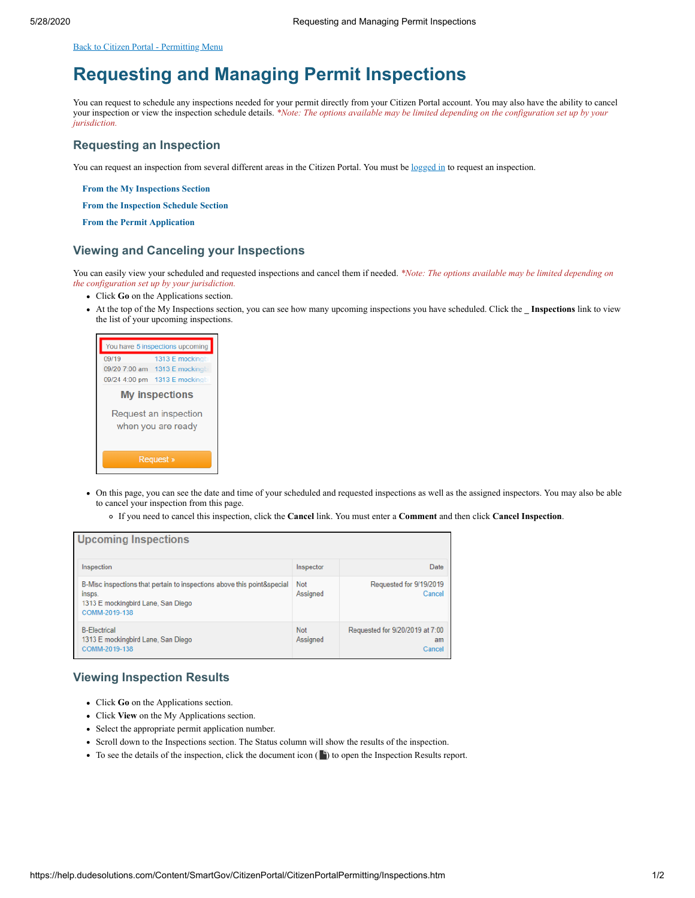<span id="page-0-0"></span>[Back to Citizen Portal - Permitting Menu](https://help.dudesolutions.com/Content/SmartGov/CitizenPortal/CitizenPortalPermitting/Citizen-Portal-Permitting.htm)

# **Requesting and Managing Permit Inspections**

You can request to schedule any inspections needed for your permit directly from your Citizen Portal account. You may also have the ability to cancel your inspection or view the inspection schedule details. *\*Note: The options available may be limited depending on the configuration set up by your jurisdiction.*

#### **Requesting an Inspection**

You can request an inspection from several different areas in the Citizen Portal. You must be [logged in](https://help.dudesolutions.com/Content/SmartGov/CitizenPortal/Citizen-Portal-Registration-And-Login.htm#How2) to request an inspection.

**From the My Inspections Section**

**From the Inspection Schedule Section**

**From the Permit Application**

#### **Viewing and Canceling your Inspections**

You can easily view your scheduled and requested inspections and cancel them if needed. *\*Note: The options available may be limited depending on the configuration set up by your jurisdiction.*

- Click **Go** on the Applications section.
- At the top of the My Inspections section, you can see how many upcoming inspections you have scheduled. Click the **\_ Inspections** link to view the list of your upcoming inspections.



- On this page, you can see the date and time of your scheduled and requested inspections as well as the assigned inspectors. You may also be able to cancel your inspection from this page.
	- If you need to cancel this inspection, click the **Cancel** link. You must enter a **Comment** and then click **Cancel Inspection**.

| <b>Upcoming Inspections</b>                                                                                                              |                        |                                                 |  |  |
|------------------------------------------------------------------------------------------------------------------------------------------|------------------------|-------------------------------------------------|--|--|
| Inspection                                                                                                                               | Inspector              | Date                                            |  |  |
| B-Misc inspections that pertain to inspections above this point&special<br>insps.<br>1313 E mockingbird Lane, San Diego<br>COMM-2019-138 | <b>Not</b><br>Assigned | Requested for 9/19/2019<br>Cancel               |  |  |
| <b>B-Flectrical</b><br>1313 E mockingbird Lane, San Diego<br>COMM-2019-138                                                               | <b>Not</b><br>Assigned | Requested for 9/20/2019 at 7:00<br>am<br>Cancel |  |  |

### **Viewing Inspection Results**

- Click **Go** on the Applications section.
- Click **View** on the My Applications section.
- Select the appropriate permit application number.
- Scroll down to the Inspections section. The Status column will show the results of the inspection.
- $\bullet$  To see the details of the inspection, click the document icon ( $\bullet$ ) to open the Inspection Results report.